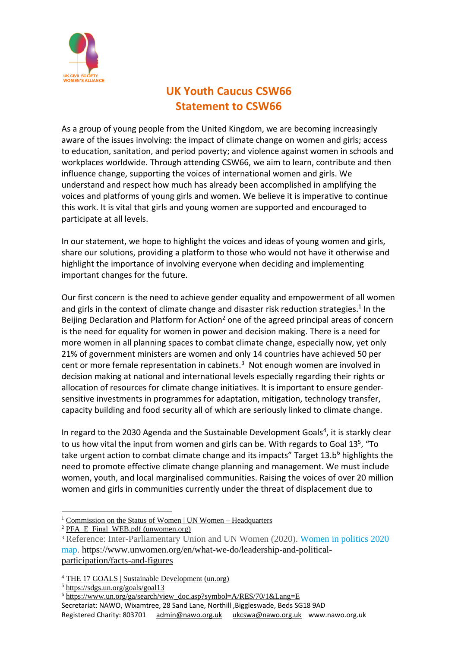

## **UK Youth Caucus CSW66 Statement to CSW66**

As a group of young people from the United Kingdom, we are becoming increasingly aware of the issues involving: the impact of climate change on women and girls; access to education, sanitation, and period poverty; and violence against women in schools and workplaces worldwide. Through attending CSW66, we aim to learn, contribute and then influence change, supporting the voices of international women and girls. We understand and respect how much has already been accomplished in amplifying the voices and platforms of young girls and women. We believe it is imperative to continue this work. It is vital that girls and young women are supported and encouraged to participate at all levels.

In our statement, we hope to highlight the voices and ideas of young women and girls, share our solutions, providing a platform to those who would not have it otherwise and highlight the importance of involving everyone when deciding and implementing important changes for the future.

Our first concern is the need to achieve gender equality and empowerment of all women and girls in the context of climate change and disaster risk reduction strategies.<sup>1</sup> In the Beijing Declaration and Platform for Action<sup>2</sup> one of the agreed principal areas of concern is the need for equality for women in power and decision making. There is a need for more women in all planning spaces to combat climate change, especially now, yet only 21% of government ministers are women and only 14 countries have achieved 50 per cent or more female representation in cabinets.<sup>3</sup> Not enough women are involved in decision making at national and international levels especially regarding their rights or allocation of resources for climate change initiatives. It is important to ensure gendersensitive investments in programmes for adaptation, mitigation, technology transfer, capacity building and food security all of which are seriously linked to climate change.

In regard to the 2030 Agenda and the Sustainable Development Goals<sup>4</sup>, it is starkly clear to us how vital the input from women and girls can be. With regards to Goal 13<sup>5</sup>, "To take urgent action to combat climate change and its impacts" Target 13.b<sup>6</sup> highlights the need to promote effective climate change planning and management. We must include women, youth, and local marginalised communities. Raising the voices of over 20 million women and girls in communities currently under the threat of displacement due to

<sup>1</sup> Commission on the Status of Women | UN Women – [Headquarters](https://www.unwomen.org/en/csw)

- <sup>5</sup> <https://sdgs.un.org/goals/goal13>
- Secretariat: NAWO, Wixamtree, 28 Sand Lane, Northill ,Biggleswade, Beds SG18 9AD Registered Charity: 803701 [admin@nawo.org.uk](mailto:admin@nawo.org.uk) [ukcswa@nawo.org.uk](mailto:ukcswa@nawo.org.uk) www.nawo.org.uk <sup>6</sup> [https://www.un.org/ga/search/view\\_doc.asp?symbol=A/RES/70/1&Lang=E](https://www.un.org/ga/search/view_doc.asp?symbol=A/RES/70/1&Lang=E)

 $2$  [PFA\\_E\\_Final\\_WEB.pdf](https://www.unwomen.org/sites/default/files/Headquarters/Attachments/Sections/CSW/PFA_E_Final_WEB.pdf) (unwomen.org)

<sup>3</sup> Reference: Inter-Parliamentary Union and UN Women (2020). [Women](https://www.unwomen.org/en/digital-library/publications/2020/03/women-in-politics-map-2020) in politics 2020 [map.](https://www.unwomen.org/en/digital-library/publications/2020/03/women-in-politics-map-2020) [https://www.unwomen.org/en/what-we-do/leadership-and-political](https://www.unwomen.org/en/what-we-do/leadership-and-political-participation/facts-and-figures)[participation/facts-and-figures](https://www.unwomen.org/en/what-we-do/leadership-and-political-participation/facts-and-figures)

<sup>4</sup> THE 17 GOALS | Sustainable [Development](https://sdgs.un.org/goals) (un.org)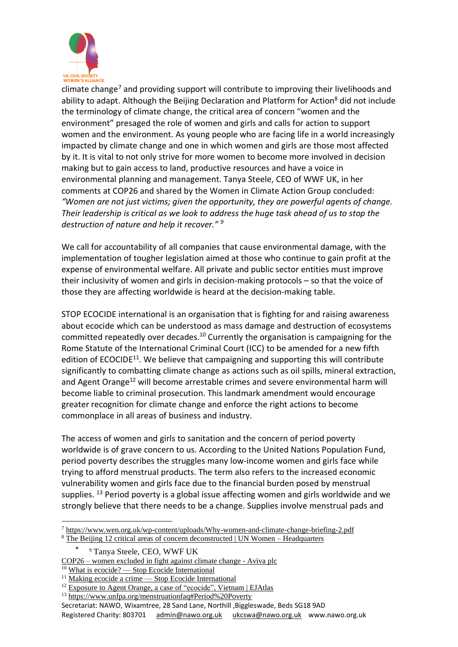

climate change<sup>7</sup> and providing support will contribute to improving their livelihoods and ability to adapt. Although the Beijing Declaration and Platform for Action<sup>8</sup> did not include the terminology of climate change, the critical area of concern "women and the environment" presaged the role of women and girls and calls for action to support women and the environment. As young people who are facing life in a world increasingly impacted by climate change and one in which women and girls are those most affected by it. It is vital to not only strive for more women to become more involved in decision making but to gain access to land, productive resources and have a voice in environmental planning and management. Tanya Steele, CEO of WWF UK, in her comments at COP26 and shared by the Women in Climate Action Group concluded: *"Women are not just victims; given the opportunity, they are powerful agents of change. Their leadership is critical as we look to address the huge task ahead of us to stop the destruction of nature and help it recover." <sup>9</sup>*

We call for accountability of all companies that cause environmental damage, with the implementation of tougher legislation aimed at those who continue to gain profit at the expense of environmental welfare. All private and public sector entities must improve their inclusivity of women and girls in decision-making protocols – so that the voice of those they are affecting worldwide is heard at the decision-making table.

STOP ECOCIDE international is an organisation that is fighting for and raising awareness about ecocide which can be understood as mass damage and destruction of ecosystems committed repeatedly over decades.<sup>10</sup> Currently the organisation is campaigning for the Rome Statute of the International Criminal Court (ICC) to be amended for a new fifth edition of ECOCIDE<sup>11</sup>. We believe that campaigning and supporting this will contribute significantly to combatting climate change as actions such as oil spills, mineral extraction, and Agent Orange<sup>12</sup> will become arrestable crimes and severe environmental harm will become liable to criminal prosecution. This landmark amendment would encourage greater recognition for climate change and enforce the right actions to become commonplace in all areas of business and industry.

The access of women and girls to sanitation and the concern of period poverty worldwide is of grave concern to us. According to the United Nations Population Fund, period poverty describes the struggles many low-income women and girls face while trying to afford menstrual products. The term also refers to the increased economic vulnerability women and girls face due to the financial burden posed by menstrual supplies.  $^{13}$  Period poverty is a global issue affecting women and girls worldwide and we strongly believe that there needs to be a change. Supplies involve menstrual pads and

<sup>7</sup> <https://www.wen.org.uk/wp-content/uploads/Why-women-and-climate-change-briefing-2.pdf>

<sup>8</sup> The Beijing 12 critical areas of concern [deconstructed](https://www.unwomen.org/en/news/in-focus/csw59/feature-stories#violence) | UN Women – Headquarters

<sup>•</sup> <sup>9</sup> Tanya Steele, CEO, WWF UK

COP26 – women [excluded](https://www.aviva.com/newsroom/news-releases/2021/11/cop26-women-excluded-in-fight-against-climate-change/) in fight against climate change - Aviva plc

<sup>&</sup>lt;sup>10</sup> What is ecocide? — Stop Ecocide [International](https://www.stopecocide.earth/what-is-ecocide)

<sup>&</sup>lt;sup>11</sup> Making ecocide a crime — Stop Ecocide [International](https://www.stopecocide.earth/making-ecocide-a-crime)

<sup>&</sup>lt;sup>12</sup> Exposure to Agent Orange, a case of ["ecocide",](https://ejatlas.org/conflict/exposure-to-agent-orange) Vietnam | EJAtlas

<sup>13</sup> <https://www.unfpa.org/menstruationfaq#Period%20Poverty>

Secretariat: NAWO, Wixamtree, 28 Sand Lane, Northill ,Biggleswade, Beds SG18 9AD

Registered Charity: 803701 [admin@nawo.org.uk](mailto:admin@nawo.org.uk) [ukcswa@nawo.org.uk](mailto:ukcswa@nawo.org.uk) www.nawo.org.uk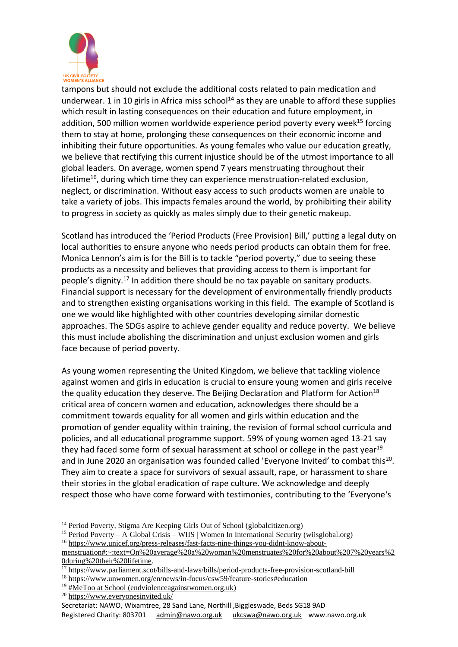

tampons but should not exclude the additional costs related to pain medication and underwear. 1 in 10 girls in Africa miss school<sup>14</sup> as they are unable to afford these supplies which result in lasting consequences on their education and future employment, in addition, 500 million women worldwide experience period poverty every week $^{15}$  forcing them to stay at home, prolonging these consequences on their economic income and inhibiting their future opportunities. As young females who value our education greatly, we believe that rectifying this current injustice should be of the utmost importance to all global leaders. On average, women spend 7 years menstruating throughout their lifetime<sup>16</sup>, during which time they can experience menstruation-related exclusion, neglect, or discrimination. Without easy access to such products women are unable to take a variety of jobs. This impacts females around the world, by prohibiting their ability to progress in society as quickly as males simply due to their genetic makeup.

Scotland has introduced the 'Period Products (Free Provision) Bill,' putting a legal duty on local authorities to ensure anyone who needs period products can obtain them for free. Monica Lennon's aim is for the Bill is to tackle "period poverty," due to seeing these products as a necessity and believes that providing access to them is important for people's dignity.<sup>17</sup> In addition there should be no tax payable on sanitary products. Financial support is necessary for the development of environmentally friendly products and to strengthen existing organisations working in this field. The example of Scotland is one we would like highlighted with other countries developing similar domestic approaches. The SDGs aspire to achieve gender equality and reduce poverty. We believe this must include abolishing the discrimination and unjust exclusion women and girls face because of period poverty.

As young women representing the United Kingdom, we believe that tackling violence against women and girls in education is crucial to ensure young women and girls receive the quality education they deserve. The Beijing Declaration and Platform for Action<sup>18</sup> critical area of concern women and education, acknowledges there should be a commitment towards equality for all women and girls within education and the promotion of gender equality within training, the revision of formal school curricula and policies, and all educational programme support. 59% of young women aged 13-21 say they had faced some form of sexual harassment at school or college in the past year<sup>19</sup> and in June 2020 an organisation was founded called 'Everyone Invited' to combat this<sup>20</sup>. They aim to create a space for survivors of sexual assault, rape, or harassment to share their stories in the global eradication of rape culture. We acknowledge and deeply respect those who have come forward with testimonies, contributing to the 'Everyone's

<sup>15</sup> Period Poverty – A Global Crisis – WIIS | Women In International Security [\(wiisglobal.org\)](https://wiisglobal.org/period-poverty-a-global-crisis/)

<sup>&</sup>lt;sup>14</sup> Period Poverty, Stigma Are Keeping Girls Out of School [\(globalcitizen.org\)](https://www.globalcitizen.org/en/content/menstrual-hygiene-day-education/)

<sup>&</sup>lt;sup>16</sup> [https://www.unicef.org/press-releases/fast-facts-nine-things-you-didnt-know-about-](https://www.unicef.org/press-releases/fast-facts-nine-things-you-didnt-know-about-menstruation#:~:text=On%20average%20a%20woman%20menstruates%20for%20about%207%20years%20during%20their%20lifetime)

[menstruation#:~:text=On%20average%20a%20woman%20menstruates%20for%20about%207%20years%2](https://www.unicef.org/press-releases/fast-facts-nine-things-you-didnt-know-about-menstruation#:~:text=On%20average%20a%20woman%20menstruates%20for%20about%207%20years%20during%20their%20lifetime) [0during%20their%20lifetime.](https://www.unicef.org/press-releases/fast-facts-nine-things-you-didnt-know-about-menstruation#:~:text=On%20average%20a%20woman%20menstruates%20for%20about%207%20years%20during%20their%20lifetime)

<sup>&</sup>lt;sup>17</sup> https://www.parliament.scot/bills-and-laws/bills/period-products-free-provision-scotland-bill

<sup>18</sup> <https://www.unwomen.org/en/news/in-focus/csw59/feature-stories#education>

 $19 \overline{\text{HMe}}$ Too at School [\(endviolenceagainstwomen.org.uk\)](https://www.endviolenceagainstwomen.org.uk/campaign/metoo-at-school/)

<sup>20</sup> <https://www.everyonesinvited.uk/>

Secretariat: NAWO, Wixamtree, 28 Sand Lane, Northill ,Biggleswade, Beds SG18 9AD Registered Charity: 803701 [admin@nawo.org.uk](mailto:admin@nawo.org.uk) [ukcswa@nawo.org.uk](mailto:ukcswa@nawo.org.uk) www.nawo.org.uk